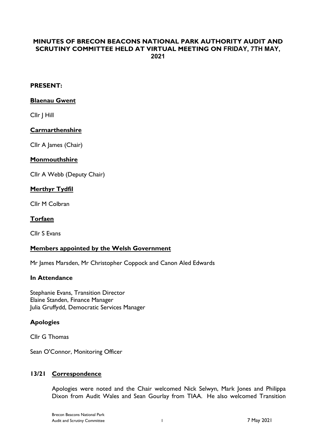# **MINUTES OF BRECON BEACONS NATIONAL PARK AUTHORITY AUDIT AND SCRUTINY COMMITTEE HELD AT VIRTUAL MEETING ON FRIDAY, 7TH MAY, 2021**

# **PRESENT:**

#### **Blaenau Gwent**

Cllr J Hill

# **Carmarthenshire**

Cllr A James (Chair)

#### **Monmouthshire**

Cllr A Webb (Deputy Chair)

#### **Merthyr Tydfil**

Cllr M Colbran

#### **Torfaen**

Cllr S Evans

# **Members appointed by the Welsh Government**

Mr James Marsden, Mr Christopher Coppock and Canon Aled Edwards

#### **In Attendance**

Stephanie Evans, Transition Director Elaine Standen, Finance Manager Julia Gruffydd, Democratic Services Manager

# **Apologies**

Cllr G Thomas

Sean O'Connor, Monitoring Officer

#### **13/21 Correspondence**

Apologies were noted and the Chair welcomed Nick Selwyn, Mark Jones and Philippa Dixon from Audit Wales and Sean Gourlay from TIAA. He also welcomed Transition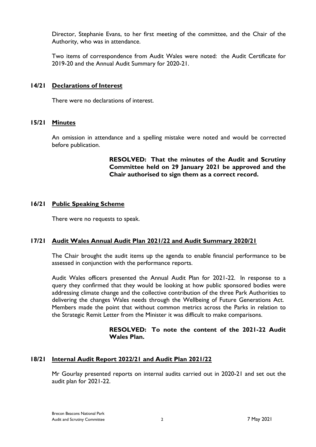Director, Stephanie Evans, to her first meeting of the committee, and the Chair of the Authority, who was in attendance.

Two items of correspondence from Audit Wales were noted: the Audit Certificate for 2019-20 and the Annual Audit Summary for 2020-21.

### **14/21 Declarations of Interest**

There were no declarations of interest.

# **15/21 Minutes**

An omission in attendance and a spelling mistake were noted and would be corrected before publication.

> **RESOLVED: That the minutes of the Audit and Scrutiny Committee held on 29 January 2021 be approved and the Chair authorised to sign them as a correct record.**

#### **16/21 Public Speaking Scheme**

There were no requests to speak.

# **17/21 Audit Wales Annual Audit Plan 2021/22 and Audit Summary 2020/21**

The Chair brought the audit items up the agenda to enable financial performance to be assessed in conjunction with the performance reports.

Audit Wales officers presented the Annual Audit Plan for 2021-22. In response to a query they confirmed that they would be looking at how public sponsored bodies were addressing climate change and the collective contribution of the three Park Authorities to delivering the changes Wales needs through the Wellbeing of Future Generations Act. Members made the point that without common metrics across the Parks in relation to the Strategic Remit Letter from the Minister it was difficult to make comparisons.

#### **RESOLVED: To note the content of the 2021-22 Audit Wales Plan.**

# **18/21 Internal Audit Report 2022/21 and Audit Plan 2021/22**

Mr Gourlay presented reports on internal audits carried out in 2020-21 and set out the audit plan for 2021-22.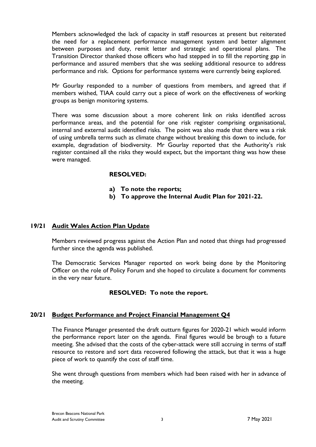Members acknowledged the lack of capacity in staff resources at present but reiterated the need for a replacement performance management system and better alignment between purposes and duty, remit letter and strategic and operational plans. The Transition Director thanked those officers who had stepped in to fill the reporting gap in performance and assured members that she was seeking additional resource to address performance and risk. Options for performance systems were currently being explored.

Mr Gourlay responded to a number of questions from members, and agreed that if members wished, TIAA could carry out a piece of work on the effectiveness of working groups as benign monitoring systems.

There was some discussion about a more coherent link on risks identified across performance areas, and the potential for one risk register comprising organisational, internal and external audit identified risks. The point was also made that there was a risk of using umbrella terms such as climate change without breaking this down to include, for example, degradation of biodiversity. Mr Gourlay reported that the Authority's risk register contained all the risks they would expect, but the important thing was how these were managed.

# **RESOLVED:**

- **a) To note the reports;**
- **b) To approve the Internal Audit Plan for 2021-22.**

### **19/21 Audit Wales Action Plan Update**

Members reviewed progress against the Action Plan and noted that things had progressed further since the agenda was published.

The Democratic Services Manager reported on work being done by the Monitoring Officer on the role of Policy Forum and she hoped to circulate a document for comments in the very near future.

# **RESOLVED: To note the report.**

#### **20/21 Budget Performance and Project Financial Management Q4**

The Finance Manager presented the draft outturn figures for 2020-21 which would inform the performance report later on the agenda. Final figures would be brough to a future meeting. She advised that the costs of the cyber-attack were still accruing in terms of staff resource to restore and sort data recovered following the attack, but that it was a huge piece of work to quantify the cost of staff time.

She went through questions from members which had been raised with her in advance of the meeting.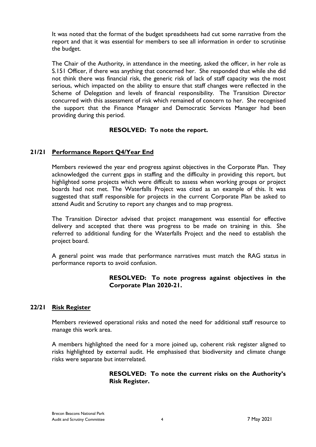It was noted that the format of the budget spreadsheets had cut some narrative from the report and that it was essential for members to see all information in order to scrutinise the budget.

The Chair of the Authority, in attendance in the meeting, asked the officer, in her role as S.151 Officer, if there was anything that concerned her. She responded that while she did not think there was financial risk, the generic risk of lack of staff capacity was the most serious, which impacted on the ability to ensure that staff changes were reflected in the Scheme of Delegation and levels of financial responsibility. The Transition Director concurred with this assessment of risk which remained of concern to her. She recognised the support that the Finance Manager and Democratic Services Manager had been providing during this period.

#### **RESOLVED: To note the report.**

# **21/21 Performance Report Q4/Year End**

Members reviewed the year end progress against objectives in the Corporate Plan. They acknowledged the current gaps in staffing and the difficulty in providing this report, but highlighted some projects which were difficult to assess when working groups or project boards had not met. The Waterfalls Project was cited as an example of this. It was suggested that staff responsible for projects in the current Corporate Plan be asked to attend Audit and Scrutiny to report any changes and to map progress.

The Transition Director advised that project management was essential for effective delivery and accepted that there was progress to be made on training in this. She referred to additional funding for the Waterfalls Project and the need to establish the project board.

A general point was made that performance narratives must match the RAG status in performance reports to avoid confusion.

# **RESOLVED: To note progress against objectives in the Corporate Plan 2020-21.**

#### **22/21 Risk Register**

Members reviewed operational risks and noted the need for additional staff resource to manage this work area.

A members highlighted the need for a more joined up, coherent risk register aligned to risks highlighted by external audit. He emphasised that biodiversity and climate change risks were separate but interrelated.

# **RESOLVED: To note the current risks on the Authority's Risk Register.**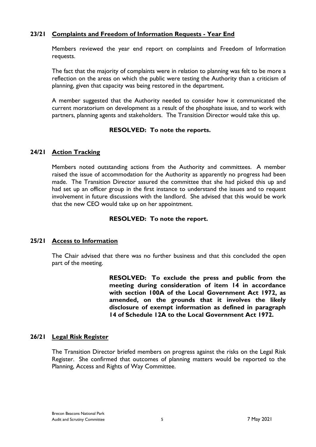### **23/21 Complaints and Freedom of Information Requests - Year End**

Members reviewed the year end report on complaints and Freedom of Information requests.

The fact that the majority of complaints were in relation to planning was felt to be more a reflection on the areas on which the public were testing the Authority than a criticism of planning, given that capacity was being restored in the department.

A member suggested that the Authority needed to consider how it communicated the current moratorium on development as a result of the phosphate issue, and to work with partners, planning agents and stakeholders. The Transition Director would take this up.

#### **RESOLVED: To note the reports.**

#### **24/21 Action Tracking**

Members noted outstanding actions from the Authority and committees. A member raised the issue of accommodation for the Authority as apparently no progress had been made. The Transition Director assured the committee that she had picked this up and had set up an officer group in the first instance to understand the issues and to request involvement in future discussions with the landlord. She advised that this would be work that the new CEO would take up on her appointment.

#### **RESOLVED: To note the report.**

#### **25/21 Access to Information**

The Chair advised that there was no further business and that this concluded the open part of the meeting.

> **RESOLVED: To exclude the press and public from the meeting during consideration of item 14 in accordance with section 100A of the Local Government Act 1972, as amended, on the grounds that it involves the likely disclosure of exempt information as defined in paragraph 14 of Schedule 12A to the Local Government Act 1972.**

# **26/21 Legal Risk Register**

The Transition Director briefed members on progress against the risks on the Legal Risk Register. She confirmed that outcomes of planning matters would be reported to the Planning, Access and Rights of Way Committee.